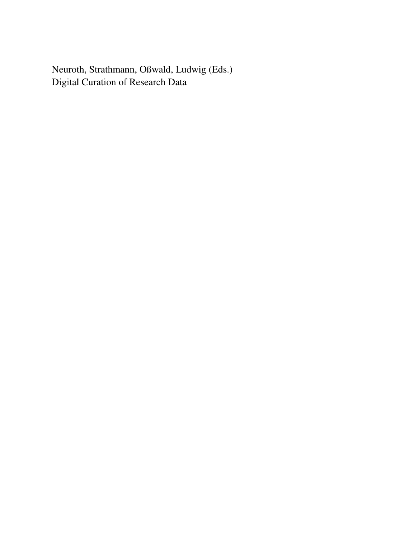Neuroth, Strathmann, Oßwald, Ludwig (Eds.) Digital Curation of Research Data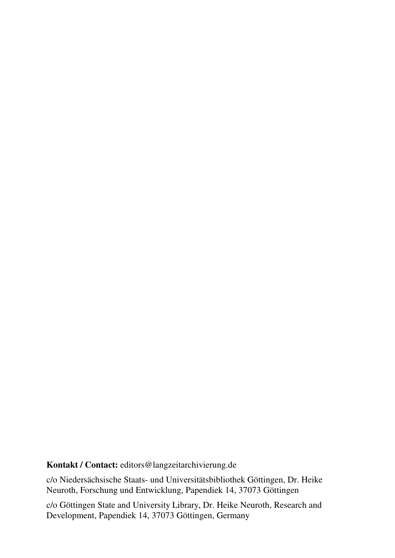**Kontakt / Contact:** editors@langzeitarchivierung.de

c/o Niedersächsische Staats- und Universitätsbibliothek Göttingen, Dr. Heike Neuroth, Forschung und Entwicklung, Papendiek 14, 37073 Göttingen

c/o Göttingen State and University Library, Dr. Heike Neuroth, Research and Development, Papendiek 14, 37073 Göttingen, Germany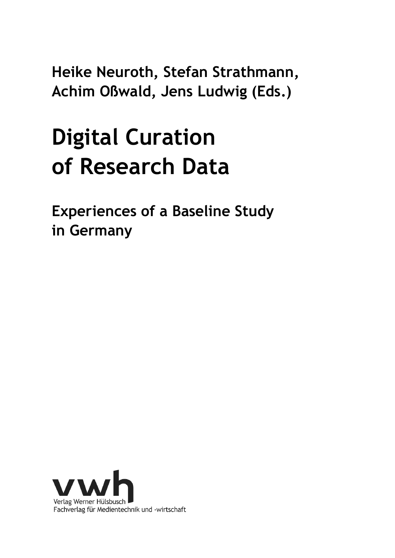**Heike Neuroth, Stefan Strathmann, Achim Oßwald, Jens Ludwig (Eds.)** 

# **Digital Curation of Research Data**

**Experiences of a Baseline Study in Germany** 

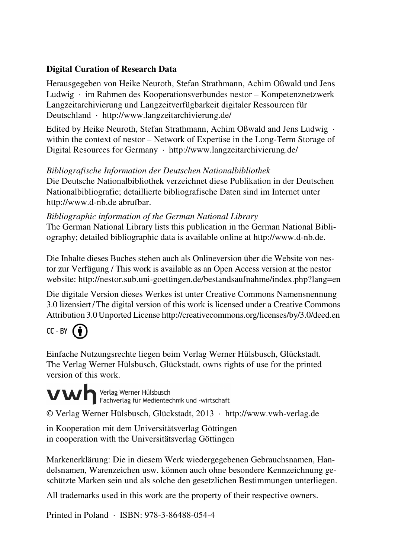#### **Digital Curation of Research Data**

Herausgegeben von Heike Neuroth, Stefan Strathmann, Achim Oßwald und Jens Ludwig · im Rahmen des Kooperationsverbundes nestor – Kompetenznetzwerk Langzeitarchivierung und Langzeitverfügbarkeit digitaler Ressourcen für Deutschland · http://www.langzeitarchivierung.de/

Edited by Heike Neuroth, Stefan Strathmann, Achim Oßwald and Jens Ludwig · within the context of nestor – Network of Expertise in the Long-Term Storage of Digital Resources for Germany · http://www.langzeitarchivierung.de/

#### *Bibliografische Information der Deutschen Nationalbibliothek*

Die Deutsche Nationalbibliothek verzeichnet diese Publikation in der Deutschen Nationalbibliografie; detaillierte bibliografische Daten sind im Internet unter http://www.d-nb.de abrufbar.

#### *Bibliographic information of the German National Library*

The German National Library lists this publication in the German National Bibliography; detailed bibliographic data is available online at http://www.d-nb.de.

Die Inhalte dieses Buches stehen auch als Onlineversion über die Website von nestor zur Verfügung / This work is available as an Open Access version at the nestor website: http://nestor.sub.uni-goettingen.de/bestandsaufnahme/index.php?lang=en

Die digitale Version dieses Werkes ist unter Creative Commons Namensnennung 3.0 lizensiert /The digital version of this work is licensed under a Creative Commons Attribution 3.0 Unported License http://creativecommons.org/licenses/by/3.0/deed.en

### $CC - BY$   $\bullet$

Einfache Nutzungsrechte liegen beim Verlag Werner Hülsbusch, Glückstadt. The Verlag Werner Hülsbusch, Glückstadt, owns rights of use for the printed version of this work.

VWhenag Werner Hülsbusch<br>Fachverlag für Medientechnik und -wirtschaft

© Verlag Werner Hülsbusch, Glückstadt, 2013 · http://www.vwh-verlag.de

in Kooperation mit dem Universitätsverlag Göttingen in cooperation with the Universitätsverlag Göttingen

Markenerklärung: Die in diesem Werk wiedergegebenen Gebrauchsnamen, Handelsnamen, Warenzeichen usw. können auch ohne besondere Kennzeichnung geschützte Marken sein und als solche den gesetzlichen Bestimmungen unterliegen.

All trademarks used in this work are the property of their respective owners.

Printed in Poland · ISBN: 978-3-86488-054-4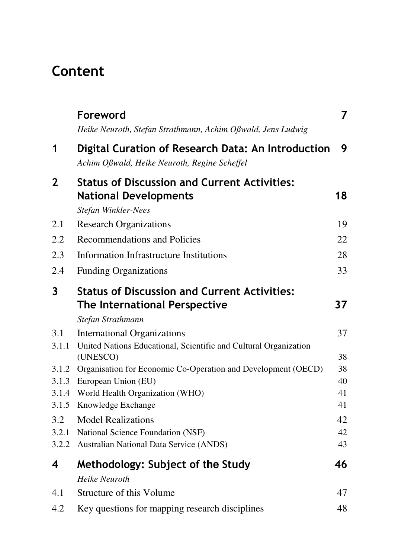## **Content**

|              | Foreword<br>Heike Neuroth, Stefan Strathmann, Achim Oßwald, Jens Ludwig                                    | 7  |
|--------------|------------------------------------------------------------------------------------------------------------|----|
| 1            | Digital Curation of Research Data: An Introduction<br>Achim Oßwald, Heike Neuroth, Regine Scheffel         | 9  |
| $\mathbf{2}$ | <b>Status of Discussion and Current Activities:</b><br><b>National Developments</b><br>Stefan Winkler-Nees | 18 |
| 2.1          | <b>Research Organizations</b>                                                                              | 19 |
| 2.2          | Recommendations and Policies                                                                               | 22 |
| 2.3          | <b>Information Infrastructure Institutions</b>                                                             | 28 |
| 2.4          | <b>Funding Organizations</b>                                                                               | 33 |
| 3            | <b>Status of Discussion and Current Activities:</b>                                                        |    |
|              | The International Perspective                                                                              | 37 |
|              | Stefan Strathmann                                                                                          |    |
| 3.1          | <b>International Organizations</b>                                                                         | 37 |
| 3.1.1        | United Nations Educational, Scientific and Cultural Organization<br>(UNESCO)                               | 38 |
| 3.1.2        | Organisation for Economic Co-Operation and Development (OECD)                                              | 38 |
| 3.1.3        | European Union (EU)                                                                                        | 40 |
| 3.1.4        | World Health Organization (WHO)                                                                            | 41 |
| 3.1.5        | Knowledge Exchange                                                                                         | 41 |
| 3.2          | <b>Model Realizations</b>                                                                                  | 42 |
| 3.2.1        | National Science Foundation (NSF)                                                                          | 42 |
| 3.2.2        | Australian National Data Service (ANDS)                                                                    | 43 |
| 4            | Methodology: Subject of the Study                                                                          | 46 |
|              | Heike Neuroth                                                                                              |    |
| 4.1          | Structure of this Volume                                                                                   | 47 |
| 4.2          | Key questions for mapping research disciplines                                                             | 48 |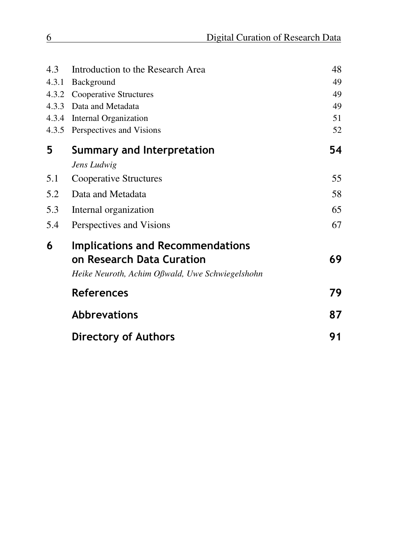| 4.3   | Introduction to the Research Area               | 48 |
|-------|-------------------------------------------------|----|
| 4.3.1 | Background                                      | 49 |
| 4.3.2 | Cooperative Structures                          | 49 |
| 4.3.3 | Data and Metadata                               | 49 |
| 4.3.4 | Internal Organization                           | 51 |
| 4.3.5 | Perspectives and Visions                        | 52 |
| 5     | Summary and Interpretation                      | 54 |
|       | Jens Ludwig                                     |    |
| 5.1   | Cooperative Structures                          | 55 |
| 5.2   | Data and Metadata                               | 58 |
| 5.3   | Internal organization                           | 65 |
| 5.4   | Perspectives and Visions                        | 67 |
| 6     | Implications and Recommendations                |    |
|       | on Research Data Curation                       | 69 |
|       | Heike Neuroth, Achim Oßwald, Uwe Schwiegelshohn |    |
|       | <b>References</b>                               | 79 |
|       | <b>Abbrevations</b>                             | 87 |
|       | <b>Directory of Authors</b>                     | 91 |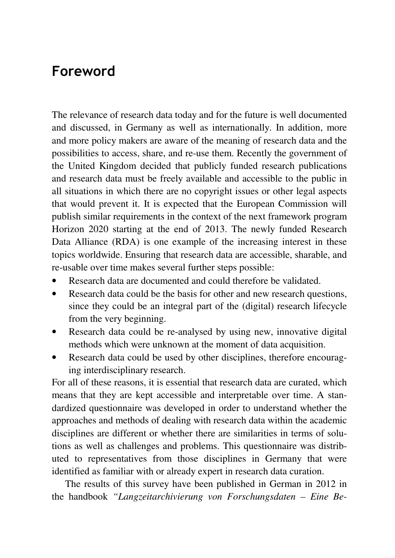### **Foreword**

The relevance of research data today and for the future is well documented and discussed, in Germany as well as internationally. In addition, more and more policy makers are aware of the meaning of research data and the possibilities to access, share, and re-use them. Recently the government of the United Kingdom decided that publicly funded research publications and research data must be freely available and accessible to the public in all situations in which there are no copyright issues or other legal aspects that would prevent it. It is expected that the European Commission will publish similar requirements in the context of the next framework program Horizon 2020 starting at the end of 2013. The newly funded Research Data Alliance (RDA) is one example of the increasing interest in these topics worldwide. Ensuring that research data are accessible, sharable, and re-usable over time makes several further steps possible:

- Research data are documented and could therefore be validated.
- Research data could be the basis for other and new research questions, since they could be an integral part of the (digital) research lifecycle from the very beginning.
- Research data could be re-analysed by using new, innovative digital methods which were unknown at the moment of data acquisition.
- Research data could be used by other disciplines, therefore encouraging interdisciplinary research.

For all of these reasons, it is essential that research data are curated, which means that they are kept accessible and interpretable over time. A standardized questionnaire was developed in order to understand whether the approaches and methods of dealing with research data within the academic disciplines are different or whether there are similarities in terms of solutions as well as challenges and problems. This questionnaire was distributed to representatives from those disciplines in Germany that were identified as familiar with or already expert in research data curation.

The results of this survey have been published in German in 2012 in the handbook *"Langzeitarchivierung von Forschungsdaten – Eine Be-*